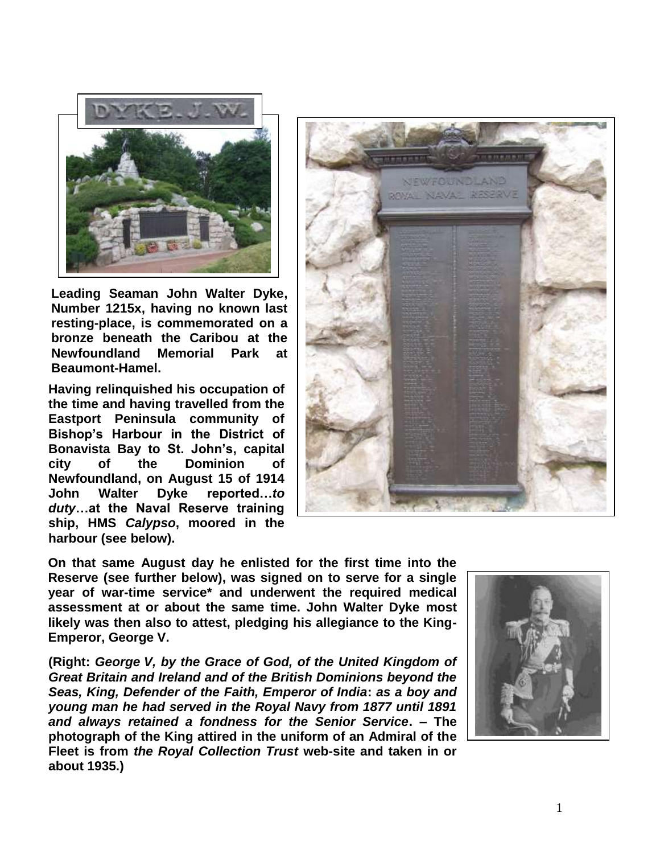

**Leading Seaman John Walter Dyke, Number 1215x, having no known last resting-place, is commemorated on a bronze beneath the Caribou at the Newfoundland Memorial Park at Beaumont-Hamel.**

**Having relinquished his occupation of the time and having travelled from the Eastport Peninsula community of Bishop's Harbour in the District of Bonavista Bay to St. John's, capital city of the Dominion of Newfoundland, on August 15 of 1914 John Walter Dyke reported…***to duty***…at the Naval Reserve training ship, HMS** *Calypso***, moored in the harbour (see below).**



**On that same August day he enlisted for the first time into the Reserve (see further below), was signed on to serve for a single year of war-time service\* and underwent the required medical assessment at or about the same time. John Walter Dyke most likely was then also to attest, pledging his allegiance to the King-Emperor, George V.**

**(Right:** *George V, by the Grace of God, of the United Kingdom of Great Britain and Ireland and of the British Dominions beyond the Seas, King, Defender of the Faith, Emperor of India***:** *as a boy and young man he had served in the Royal Navy from 1877 until 1891 and always retained a fondness for the Senior Service***. – The photograph of the King attired in the uniform of an Admiral of the Fleet is from** *the Royal Collection Trust* **web-site and taken in or about 1935.)**

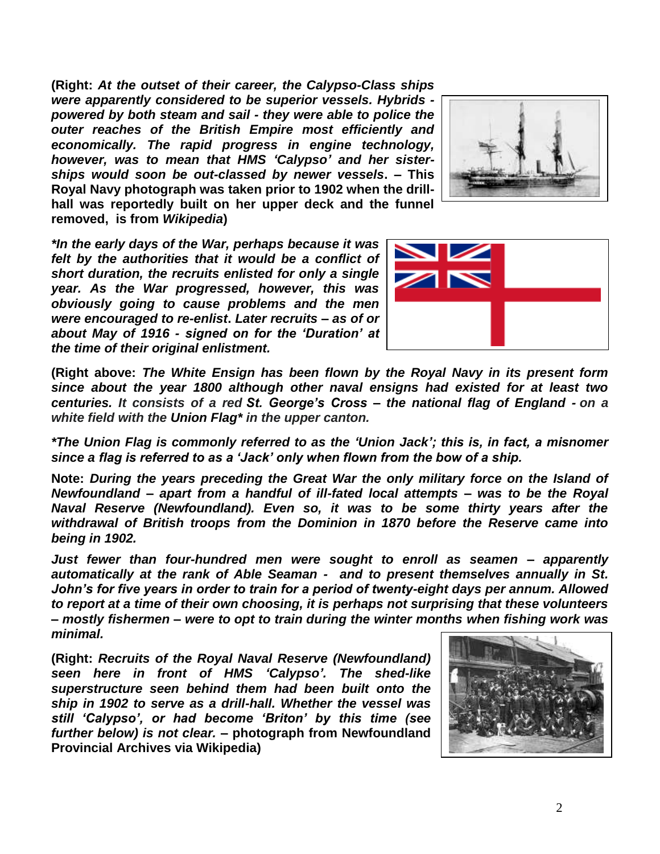**(Right:** *At the outset of their career, the Calypso-Class ships were apparently considered to be superior vessels. Hybrids powered by both steam and sail - they were able to police the outer reaches of the British Empire most efficiently and economically. The rapid progress in engine technology, however, was to mean that HMS 'Calypso' and her sisterships would soon be out-classed by newer vessels***. – This Royal Navy photograph was taken prior to 1902 when the drillhall was reportedly built on her upper deck and the funnel removed, is from** *Wikipedia***)**



*\*In the early days of the War, perhaps because it was felt by the authorities that it would be a conflict of short duration, the recruits enlisted for only a single year. As the War progressed, however, this was obviously going to cause problems and the men were encouraged to re-enlist***.** *Later recruits – as of or about May of 1916 - signed on for the 'Duration' at the time of their original enlistment.*



**(Right above:** *The White Ensign has been flown by the Royal Navy in its present form since about the year 1800 although other naval ensigns had existed for at least two centuries. It consists of a red St. George's Cross – the national flag of England - on a white field with the Union Flag\* in the upper canton.*

*\*The Union Flag is commonly referred to as the 'Union Jack'; this is, in fact, a misnomer since a flag is referred to as a 'Jack' only when flown from the bow of a ship.*

**Note:** *During the years preceding the Great War the only military force on the Island of Newfoundland – apart from a handful of ill-fated local attempts – was to be the Royal Naval Reserve (Newfoundland). Even so, it was to be some thirty years after the withdrawal of British troops from the Dominion in 1870 before the Reserve came into being in 1902.* 

*Just fewer than four-hundred men were sought to enroll as seamen – apparently automatically at the rank of Able Seaman - and to present themselves annually in St. John's for five years in order to train for a period of twenty-eight days per annum. Allowed to report at a time of their own choosing, it is perhaps not surprising that these volunteers – mostly fishermen – were to opt to train during the winter months when fishing work was minimal.*

**(Right:** *Recruits of the Royal Naval Reserve (Newfoundland) seen here in front of HMS 'Calypso'. The shed-like superstructure seen behind them had been built onto the ship in 1902 to serve as a drill-hall. Whether the vessel was still 'Calypso', or had become 'Briton' by this time (see further below) is not clear.* **– photograph from Newfoundland Provincial Archives via Wikipedia)**

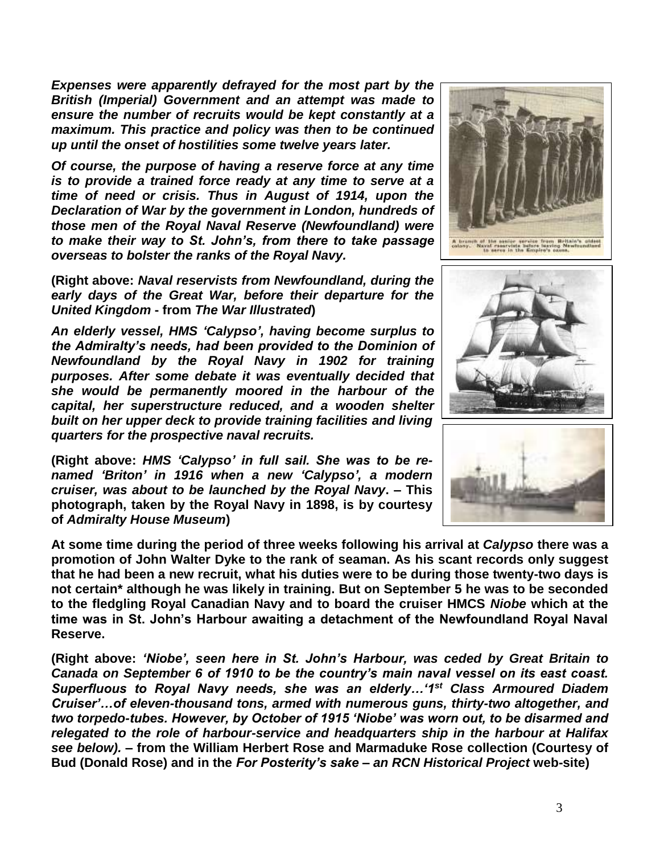*Expenses were apparently defrayed for the most part by the British (Imperial) Government and an attempt was made to ensure the number of recruits would be kept constantly at a maximum. This practice and policy was then to be continued up until the onset of hostilities some twelve years later.*

*Of course, the purpose of having a reserve force at any time is to provide a trained force ready at any time to serve at a time of need or crisis. Thus in August of 1914, upon the Declaration of War by the government in London, hundreds of those men of the Royal Naval Reserve (Newfoundland) were to make their way to St. John's, from there to take passage overseas to bolster the ranks of the Royal Navy.*

**(Right above:** *Naval reservists from Newfoundland, during the early days of the Great War, before their departure for the United Kingdom* **- from** *The War Illustrated***)**

*An elderly vessel, HMS 'Calypso', having become surplus to the Admiralty's needs, had been provided to the Dominion of Newfoundland by the Royal Navy in 1902 for training purposes. After some debate it was eventually decided that she would be permanently moored in the harbour of the capital, her superstructure reduced, and a wooden shelter built on her upper deck to provide training facilities and living quarters for the prospective naval recruits.*

**(Right above:** *HMS 'Calypso' in full sail. She was to be renamed 'Briton' in 1916 when a new 'Calypso', a modern cruiser, was about to be launched by the Royal Navy***. – This photograph, taken by the Royal Navy in 1898, is by courtesy of** *Admiralty House Museum***)**

**At some time during the period of three weeks following his arrival at** *Calypso* **there was a promotion of John Walter Dyke to the rank of seaman. As his scant records only suggest that he had been a new recruit, what his duties were to be during those twenty-two days is not certain\* although he was likely in training. But on September 5 he was to be seconded to the fledgling Royal Canadian Navy and to board the cruiser HMCS** *Niobe* **which at the time was in St. John's Harbour awaiting a detachment of the Newfoundland Royal Naval Reserve.**

**(Right above:** *'Niobe', seen here in St. John's Harbour, was ceded by Great Britain to Canada on September 6 of 1910 to be the country's main naval vessel on its east coast. Superfluous to Royal Navy needs, she was an elderly…'1st Class Armoured Diadem Cruiser'…of eleven-thousand tons, armed with numerous guns, thirty-two altogether, and two torpedo-tubes. However, by October of 1915 'Niobe' was worn out, to be disarmed and relegated to the role of harbour-service and headquarters ship in the harbour at Halifax see below).* **– from the William Herbert Rose and Marmaduke Rose collection (Courtesy of Bud (Donald Rose) and in the** *For Posterity's sake – an RCN Historical Project* **web-site)**





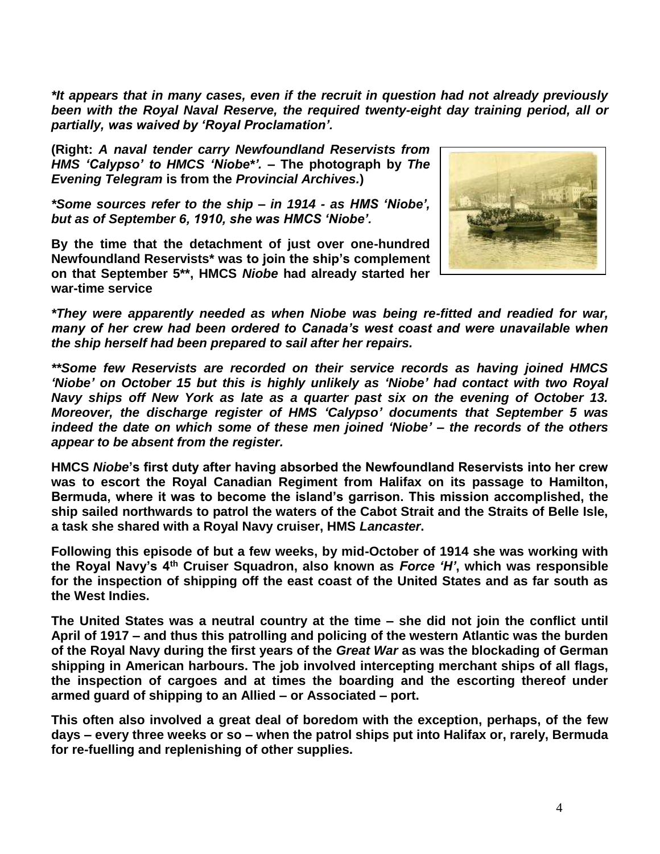*\*It appears that in many cases, even if the recruit in question had not already previously been with the Royal Naval Reserve, the required twenty-eight day training period, all or partially, was waived by 'Royal Proclamation'.*

**(Right:** *A naval tender carry Newfoundland Reservists from HMS 'Calypso' to HMCS 'Niobe\*'. –* **The photograph by** *The Evening Telegram* **is from the** *Provincial Archives.***)**

*\*Some sources refer to the ship – in 1914 - as HMS 'Niobe', but as of September 6, 1910, she was HMCS 'Niobe'.*

**By the time that the detachment of just over one-hundred Newfoundland Reservists\* was to join the ship's complement on that September 5\*\*, HMCS** *Niobe* **had already started her war-time service**



*\*They were apparently needed as when Niobe was being re-fitted and readied for war, many of her crew had been ordered to Canada's west coast and were unavailable when the ship herself had been prepared to sail after her repairs.* 

*\*\*Some few Reservists are recorded on their service records as having joined HMCS 'Niobe' on October 15 but this is highly unlikely as 'Niobe' had contact with two Royal Navy ships off New York as late as a quarter past six on the evening of October 13. Moreover, the discharge register of HMS 'Calypso' documents that September 5 was indeed the date on which some of these men joined 'Niobe' – the records of the others appear to be absent from the register.*

**HMCS** *Niobe***'s first duty after having absorbed the Newfoundland Reservists into her crew was to escort the Royal Canadian Regiment from Halifax on its passage to Hamilton, Bermuda, where it was to become the island's garrison. This mission accomplished, the ship sailed northwards to patrol the waters of the Cabot Strait and the Straits of Belle Isle, a task she shared with a Royal Navy cruiser, HMS** *Lancaster***.**

**Following this episode of but a few weeks, by mid-October of 1914 she was working with the Royal Navy's 4th Cruiser Squadron, also known as** *Force 'H'***, which was responsible for the inspection of shipping off the east coast of the United States and as far south as the West Indies.**

**The United States was a neutral country at the time – she did not join the conflict until April of 1917 – and thus this patrolling and policing of the western Atlantic was the burden of the Royal Navy during the first years of the** *Great War* **as was the blockading of German shipping in American harbours. The job involved intercepting merchant ships of all flags, the inspection of cargoes and at times the boarding and the escorting thereof under armed guard of shipping to an Allied – or Associated – port.**

**This often also involved a great deal of boredom with the exception, perhaps, of the few days – every three weeks or so – when the patrol ships put into Halifax or, rarely, Bermuda for re-fuelling and replenishing of other supplies.**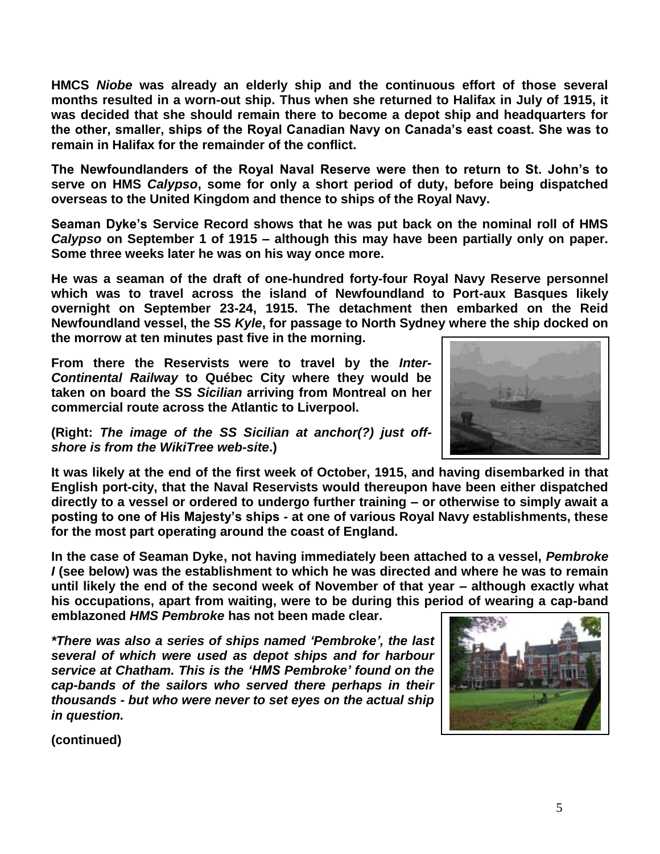**HMCS** *Niobe* **was already an elderly ship and the continuous effort of those several months resulted in a worn-out ship. Thus when she returned to Halifax in July of 1915, it was decided that she should remain there to become a depot ship and headquarters for the other, smaller, ships of the Royal Canadian Navy on Canada's east coast. She was to remain in Halifax for the remainder of the conflict.**

**The Newfoundlanders of the Royal Naval Reserve were then to return to St. John's to serve on HMS** *Calypso***, some for only a short period of duty, before being dispatched overseas to the United Kingdom and thence to ships of the Royal Navy.**

**Seaman Dyke's Service Record shows that he was put back on the nominal roll of HMS**  *Calypso* **on September 1 of 1915 – although this may have been partially only on paper. Some three weeks later he was on his way once more.**

**He was a seaman of the draft of one-hundred forty-four Royal Navy Reserve personnel which was to travel across the island of Newfoundland to Port-aux Basques likely overnight on September 23-24, 1915. The detachment then embarked on the Reid Newfoundland vessel, the SS** *Kyle***, for passage to North Sydney where the ship docked on the morrow at ten minutes past five in the morning.** 

**From there the Reservists were to travel by the** *Inter-Continental Railway* **to Québec City where they would be taken on board the SS** *Sicilian* **arriving from Montreal on her commercial route across the Atlantic to Liverpool.** 



**(Right:** *The image of the SS Sicilian at anchor(?) just offshore is from the WikiTree web-site***.)**

**It was likely at the end of the first week of October, 1915, and having disembarked in that English port-city, that the Naval Reservists would thereupon have been either dispatched directly to a vessel or ordered to undergo further training – or otherwise to simply await a posting to one of His Majesty's ships - at one of various Royal Navy establishments, these for the most part operating around the coast of England.**

**In the case of Seaman Dyke, not having immediately been attached to a vessel,** *Pembroke I* **(see below) was the establishment to which he was directed and where he was to remain until likely the end of the second week of November of that year – although exactly what his occupations, apart from waiting, were to be during this period of wearing a cap-band emblazoned** *HMS Pembroke* **has not been made clear.**

*\*There was also a series of ships named 'Pembroke', the last several of which were used as depot ships and for harbour service at Chatham. This is the 'HMS Pembroke' found on the cap-bands of the sailors who served there perhaps in their thousands - but who were never to set eyes on the actual ship in question.*



**(continued)**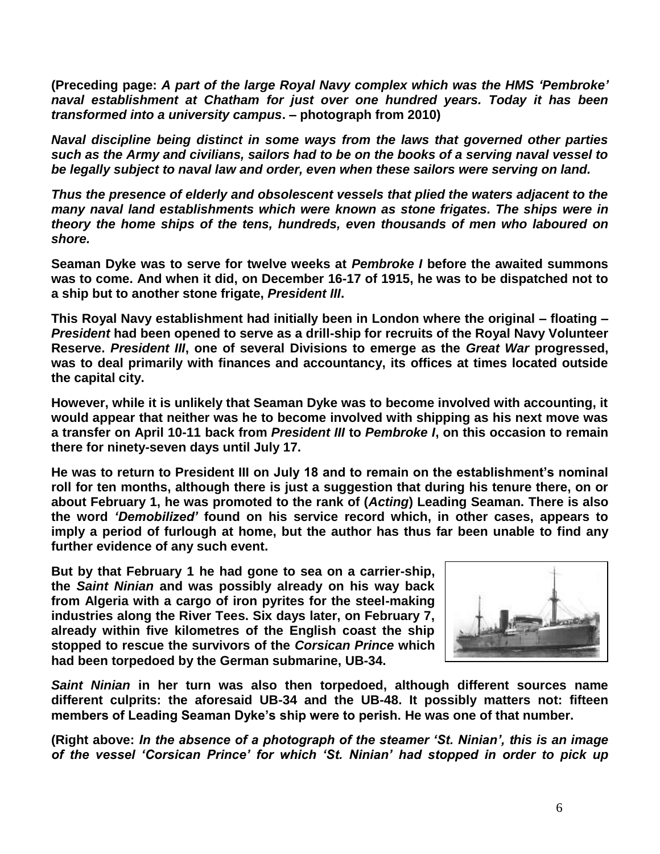**(Preceding page:** *A part of the large Royal Navy complex which was the HMS 'Pembroke' naval establishment at Chatham for just over one hundred years. Today it has been transformed into a university campus***. – photograph from 2010)**

*Naval discipline being distinct in some ways from the laws that governed other parties such as the Army and civilians, sailors had to be on the books of a serving naval vessel to be legally subject to naval law and order, even when these sailors were serving on land.*

*Thus the presence of elderly and obsolescent vessels that plied the waters adjacent to the many naval land establishments which were known as stone frigates. The ships were in theory the home ships of the tens, hundreds, even thousands of men who laboured on shore.*

**Seaman Dyke was to serve for twelve weeks at** *Pembroke I* **before the awaited summons was to come. And when it did, on December 16-17 of 1915, he was to be dispatched not to a ship but to another stone frigate,** *President III***.**

**This Royal Navy establishment had initially been in London where the original – floating –** *President* **had been opened to serve as a drill-ship for recruits of the Royal Navy Volunteer Reserve.** *President III***, one of several Divisions to emerge as the** *Great War* **progressed, was to deal primarily with finances and accountancy, its offices at times located outside the capital city.**

**However, while it is unlikely that Seaman Dyke was to become involved with accounting, it would appear that neither was he to become involved with shipping as his next move was a transfer on April 10-11 back from** *President III* **to** *Pembroke I***, on this occasion to remain there for ninety-seven days until July 17.**

**He was to return to President III on July 18 and to remain on the establishment's nominal roll for ten months, although there is just a suggestion that during his tenure there, on or about February 1, he was promoted to the rank of (***Acting***) Leading Seaman. There is also the word** *'Demobilized'* **found on his service record which, in other cases, appears to imply a period of furlough at home, but the author has thus far been unable to find any further evidence of any such event.**

**But by that February 1 he had gone to sea on a carrier-ship, the** *Saint Ninian* **and was possibly already on his way back from Algeria with a cargo of iron pyrites for the steel-making industries along the River Tees. Six days later, on February 7, already within five kilometres of the English coast the ship stopped to rescue the survivors of the** *Corsican Prince* **which had been torpedoed by the German submarine, UB-34.**



*Saint Ninian* **in her turn was also then torpedoed, although different sources name different culprits: the aforesaid UB-34 and the UB-48. It possibly matters not: fifteen members of Leading Seaman Dyke's ship were to perish. He was one of that number.**

**(Right above:** *In the absence of a photograph of the steamer 'St. Ninian', this is an image of the vessel 'Corsican Prince' for which 'St. Ninian' had stopped in order to pick up*